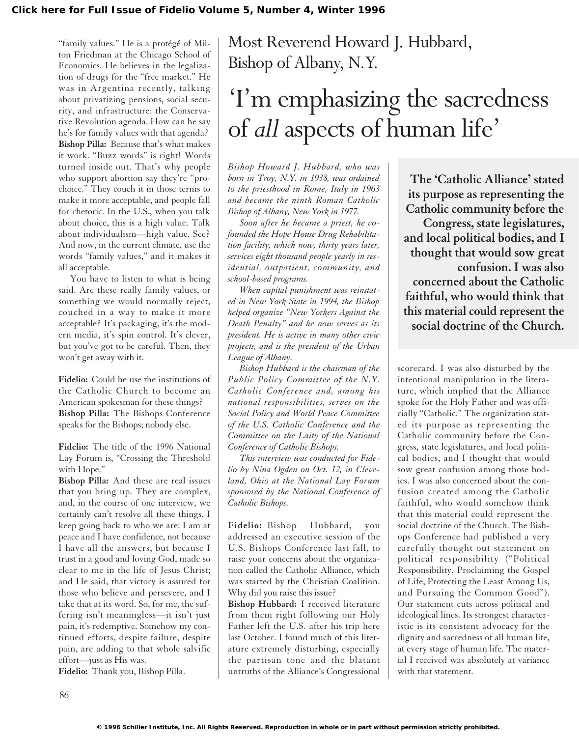"family values." He is a protégé of Milton Friedman at the Chicago School of Economics. He believes in the legalization of drugs for the "free market." He was in Argentina recently, talking about privatizing pensions, social security, and infrastructure: the Conservative Revolution agenda. How can he say he's for family values with that agenda? **Bishop Pilla:** Because that's what makes it work. "Buzz words" is right! Words turned inside out. That's why people who support abortion say they're "prochoice." They couch it in those terms to make it more acceptable, and people fall for rhetoric. In the U.S., when you talk about choice, this is a high value. Talk about individualism—high value. See? And now, in the current climate, use the words "family values," and it makes it all acceptable.

You have to listen to what is being said. Are these really family values, or something we would normally reject, couched in a way to make it more acceptable? It's packaging, it's the modern media, it's spin control. It's clever, but you've got to be careful. Then, they won't get away with it.

**Fidelio:** Could he use the institutions of the Catholic Church to become an American spokesman for these things? **Bishop Pilla:** The Bishops Conference speaks for the Bishops; nobody else.

**Fidelio:** The title of the 1996 National Lay Forum is, "Crossing the Threshold with Hope."

**Bishop Pilla:** And these are real issues that you bring up. They are complex, and, in the course of one interview, we certainly can't resolve all these things. I keep going back to who we are: I am at peace and I have confidence, not because I have all the answers, but because I trust in a good and loving God, made so clear to me in the life of Jesus Christ; and He said, that victory is assured for those who believe and persevere, and I take that at its word. So, for me, the suffering isn't meaningless—it isn't just pain, it's redemptive. Somehow my continued efforts, despite failure, despite pain, are adding to that whole salvific effort—just as His was.

**Fidelio:** Thank you, Bishop Pilla.

## Most Reverend Howard J. Hubbard, Bishop of Albany, N.Y.

## 'I'm emphasizing the sacredness of *all* aspects of human life'

*Bishop Howard J. Hubbard, who was born in Troy, N.Y. in 1938, was ordained to the priesthood in Rome, Italy in 1963 and became the ninth Roman Catholic Bishop of Albany, New York in 1977.*

*Soon after he became a priest, he cofounded the Hope House Drug Rehabilitation facility, which now, thirty years later, services eight thousand people yearly in residential, outpatient, community, and school-based programs.*

*When capital punishment was reinstated in New York State in 1994, the Bishop helped organize "New Yorkers Against the Death Penalty" and he now serves as its president. He is active in many other civic projects, and is the president of the Urban League of Albany.*

*Bishop Hubbard is the chairman of the Public Policy Committee of the N.Y. Catholic Conference and, among his national responsibilities, serves on the Social Policy and World Peace Committee of the U.S. Catholic Conference and the Committee on the Laity of the National Conference of Catholic Bishops.*

*This interview was conducted for Fidelio by Nina Ogden on Oct. 12, in Cleveland, Ohio at the National Lay Forum sponsored by the National Conference of Catholic Bishops.*

**Fidelio:** Bishop Hubbard, you addressed an executive session of the U.S. Bishops Conference last fall, to raise your concerns about the organization called the Catholic Alliance, which was started by the Christian Coalition. Why did you raise this issue?

**Bishop Hubbard:** I received literature from them right following our Holy Father left the U.S. after his trip here last October. I found much of this literature extremely disturbing, especially the partisan tone and the blatant untruths of the Alliance's Congressional

**The 'Catholic Alliance' stated its purpose as representing the Catholic community before the Congress, state legislatures, and local political bodies, and I thought that would sow great confusion. I was also concerned about the Catholic faithful, who would think that this material could represent the social doctrine of the Church.**

scorecard. I was also disturbed by the intentional manipulation in the literature, which implied that the Alliance spoke for the Holy Father and was officially "Catholic." The organization stated its purpose as representing the Catholic community before the Congress, state legislatures, and local political bodies, and I thought that would sow great confusion among those bodies. I was also concerned about the confusion created among the Catholic faithful, who would somehow think that this material could represent the social doctrine of the Church. The Bishops Conference had published a very carefully thought out statement on political responsibility ("Political Responsibility, Proclaiming the Gospel of Life, Protecting the Least Among Us, and Pursuing the Common Good"). Our statement cuts across political and ideological lines. Its strongest characteristic is its consistent advocacy for the dignity and sacredness of all human life, at every stage of human life. The material I received was absolutely at variance with that statement.